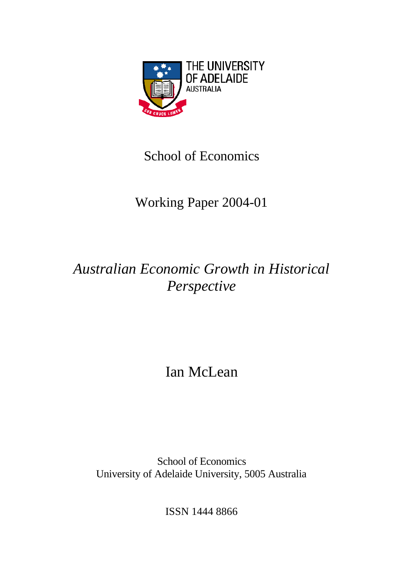

## School of Economics

## Working Paper 2004-01

# *Australian Economic Growth in Historical Perspective*

## Ian McLean

School of Economics University of Adelaide University, 5005 Australia

ISSN 1444 8866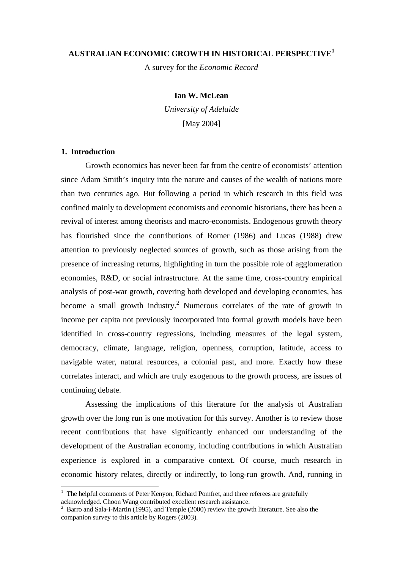### **AUSTRALIAN ECONOMIC GROWTH IN HISTORICAL PERSPECTIVE<sup>1</sup>**

A survey for the *Economic Record*

**Ian W. McLean**

*University of Adelaide*

[May 2004]

## **1. Introduction**

 $\overline{a}$ 

Growth economics has never been far from the centre of economists' attention since Adam Smith's inquiry into the nature and causes of the wealth of nations more than two centuries ago. But following a period in which research in this field was confined mainly to development economists and economic historians, there has been a revival of interest among theorists and macro-economists. Endogenous growth theory has flourished since the contributions of Romer (1986) and Lucas (1988) drew attention to previously neglected sources of growth, such as those arising from the presence of increasing returns, highlighting in turn the possible role of agglomeration economies, R&D, or social infrastructure. At the same time, cross-country empirical analysis of post-war growth, covering both developed and developing economies, has become a small growth industry.<sup>2</sup> Numerous correlates of the rate of growth in income per capita not previously incorporated into formal growth models have been identified in cross-country regressions, including measures of the legal system, democracy, climate, language, religion, openness, corruption, latitude, access to navigable water, natural resources, a colonial past, and more. Exactly how these correlates interact, and which are truly exogenous to the growth process, are issues of continuing debate.

Assessing the implications of this literature for the analysis of Australian growth over the long run is one motivation for this survey. Another is to review those recent contributions that have significantly enhanced our understanding of the development of the Australian economy, including contributions in which Australian experience is explored in a comparative context. Of course, much research in economic history relates, directly or indirectly, to long-run growth. And, running in

<sup>&</sup>lt;sup>1</sup> The helpful comments of Peter Kenyon, Richard Pomfret, and three referees are gratefully acknowledged. Choon Wang contributed excellent research assistance.

 $2^2$  Barro and Sala-i-Martin (1995), and Temple (2000) review the growth literature. See also the companion survey to this article by Rogers (2003).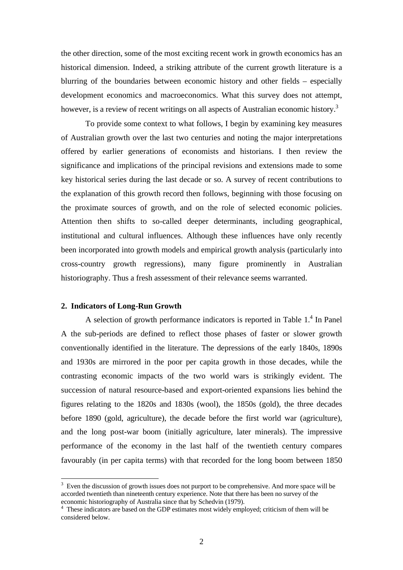the other direction, some of the most exciting recent work in growth economics has an historical dimension. Indeed, a striking attribute of the current growth literature is a blurring of the boundaries between economic history and other fields – especially development economics and macroeconomics. What this survey does not attempt, however, is a review of recent writings on all aspects of Australian economic history.<sup>3</sup>

To provide some context to what follows, I begin by examining key measures of Australian growth over the last two centuries and noting the major interpretations offered by earlier generations of economists and historians. I then review the significance and implications of the principal revisions and extensions made to some key historical series during the last decade or so. A survey of recent contributions to the explanation of this growth record then follows, beginning with those focusing on the proximate sources of growth, and on the role of selected economic policies. Attention then shifts to so-called deeper determinants, including geographical, institutional and cultural influences. Although these influences have only recently been incorporated into growth models and empirical growth analysis (particularly into cross-country growth regressions), many figure prominently in Australian historiography. Thus a fresh assessment of their relevance seems warranted.

#### **2. Indicators of Long-Run Growth**

 $\overline{a}$ 

A selection of growth performance indicators is reported in Table  $1<sup>4</sup>$  In Panel A the sub-periods are defined to reflect those phases of faster or slower growth conventionally identified in the literature. The depressions of the early 1840s, 1890s and 1930s are mirrored in the poor per capita growth in those decades, while the contrasting economic impacts of the two world wars is strikingly evident. The succession of natural resource-based and export-oriented expansions lies behind the figures relating to the 1820s and 1830s (wool), the 1850s (gold), the three decades before 1890 (gold, agriculture), the decade before the first world war (agriculture), and the long post-war boom (initially agriculture, later minerals). The impressive performance of the economy in the last half of the twentieth century compares favourably (in per capita terms) with that recorded for the long boom between 1850

 $3$  Even the discussion of growth issues does not purport to be comprehensive. And more space will be accorded twentieth than nineteenth century experience. Note that there has been no survey of the economic historiography of Australia since that by Schedvin (1979).

<sup>&</sup>lt;sup>4</sup> These indicators are based on the GDP estimates most widely employed; criticism of them will be considered below.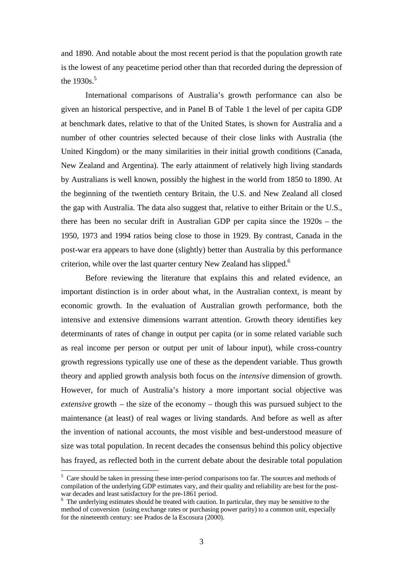and 1890. And notable about the most recent period is that the population growth rate is the lowest of any peacetime period other than that recorded during the depression of the  $1930s^{5}$ 

International comparisons of Australia's growth performance can also be given an historical perspective, and in Panel B of Table 1 the level of per capita GDP at benchmark dates, relative to that of the United States, is shown for Australia and a number of other countries selected because of their close links with Australia (the United Kingdom) or the many similarities in their initial growth conditions (Canada, New Zealand and Argentina). The early attainment of relatively high living standards by Australians is well known, possibly the highest in the world from 1850 to 1890. At the beginning of the twentieth century Britain, the U.S. and New Zealand all closed the gap with Australia. The data also suggest that, relative to either Britain or the U.S., there has been no secular drift in Australian GDP per capita since the 1920s – the 1950, 1973 and 1994 ratios being close to those in 1929. By contrast, Canada in the post-war era appears to have done (slightly) better than Australia by this performance criterion, while over the last quarter century New Zealand has slipped.<sup>6</sup>

Before reviewing the literature that explains this and related evidence, an important distinction is in order about what, in the Australian context, is meant by economic growth. In the evaluation of Australian growth performance, both the intensive and extensive dimensions warrant attention. Growth theory identifies key determinants of rates of change in output per capita (or in some related variable such as real income per person or output per unit of labour input), while cross-country growth regressions typically use one of these as the dependent variable. Thus growth theory and applied growth analysis both focus on the *intensive* dimension of growth. However, for much of Australia's history a more important social objective was *extensive* growth – the size of the economy – though this was pursued subject to the maintenance (at least) of real wages or living standards. And before as well as after the invention of national accounts, the most visible and best-understood measure of size was total population. In recent decades the consensus behind this policy objective has frayed, as reflected both in the current debate about the desirable total population

<sup>&</sup>lt;sup>5</sup> Care should be taken in pressing these inter-period comparisons too far. The sources and methods of compilation of the underlying GDP estimates vary, and their quality and reliability are best for the postwar decades and least satisfactory for the pre-1861 period.

<sup>&</sup>lt;sup>6</sup> The underlying estimates should be treated with caution. In particular, they may be sensitive to the method of conversion (using exchange rates or purchasing power parity) to a common unit, especially for the nineteenth century: see Prados de la Escosura (2000).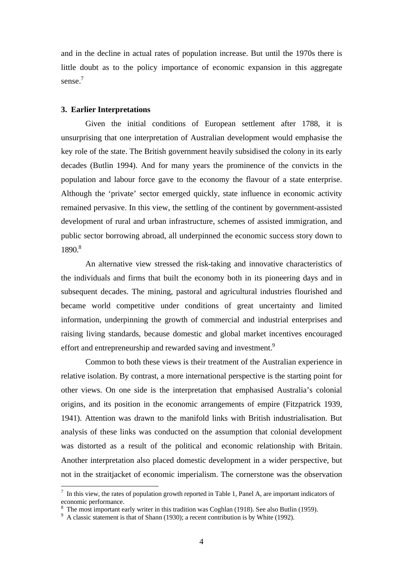and in the decline in actual rates of population increase. But until the 1970s there is little doubt as to the policy importance of economic expansion in this aggregate sense.<sup>7</sup>

#### **3. Earlier Interpretations**

 $\overline{a}$ 

Given the initial conditions of European settlement after 1788, it is unsurprising that one interpretation of Australian development would emphasise the key role of the state. The British government heavily subsidised the colony in its early decades (Butlin 1994). And for many years the prominence of the convicts in the population and labour force gave to the economy the flavour of a state enterprise. Although the 'private' sector emerged quickly, state influence in economic activity remained pervasive. In this view, the settling of the continent by government-assisted development of rural and urban infrastructure, schemes of assisted immigration, and public sector borrowing abroad, all underpinned the economic success story down to 1890.<sup>8</sup>

An alternative view stressed the risk-taking and innovative characteristics of the individuals and firms that built the economy both in its pioneering days and in subsequent decades. The mining, pastoral and agricultural industries flourished and became world competitive under conditions of great uncertainty and limited information, underpinning the growth of commercial and industrial enterprises and raising living standards, because domestic and global market incentives encouraged effort and entrepreneurship and rewarded saving and investment.<sup>9</sup>

Common to both these views is their treatment of the Australian experience in relative isolation. By contrast, a more international perspective is the starting point for other views. On one side is the interpretation that emphasised Australia's colonial origins, and its position in the economic arrangements of empire (Fitzpatrick 1939, 1941). Attention was drawn to the manifold links with British industrialisation. But analysis of these links was conducted on the assumption that colonial development was distorted as a result of the political and economic relationship with Britain. Another interpretation also placed domestic development in a wider perspective, but not in the straitjacket of economic imperialism. The cornerstone was the observation

 $<sup>7</sup>$  In this view, the rates of population growth reported in Table 1, Panel A, are important indicators of</sup> economic performance.

<sup>&</sup>lt;sup>8</sup> The most important early writer in this tradition was Coghlan (1918). See also Butlin (1959).

<sup>&</sup>lt;sup>9</sup> A classic statement is that of Shann (1930); a recent contribution is by White (1992).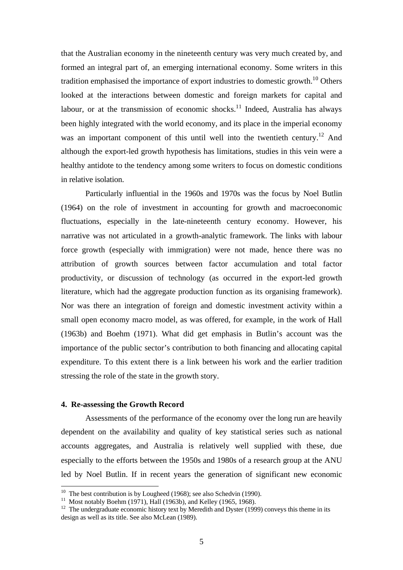that the Australian economy in the nineteenth century was very much created by, and formed an integral part of, an emerging international economy. Some writers in this tradition emphasised the importance of export industries to domestic growth.<sup>10</sup> Others looked at the interactions between domestic and foreign markets for capital and labour, or at the transmission of economic shocks.<sup>11</sup> Indeed, Australia has always been highly integrated with the world economy, and its place in the imperial economy was an important component of this until well into the twentieth century.<sup>12</sup> And although the export-led growth hypothesis has limitations, studies in this vein were a healthy antidote to the tendency among some writers to focus on domestic conditions in relative isolation.

Particularly influential in the 1960s and 1970s was the focus by Noel Butlin (1964) on the role of investment in accounting for growth and macroeconomic fluctuations, especially in the late-nineteenth century economy. However, his narrative was not articulated in a growth-analytic framework. The links with labour force growth (especially with immigration) were not made, hence there was no attribution of growth sources between factor accumulation and total factor productivity, or discussion of technology (as occurred in the export-led growth literature, which had the aggregate production function as its organising framework). Nor was there an integration of foreign and domestic investment activity within a small open economy macro model, as was offered, for example, in the work of Hall (1963b) and Boehm (1971). What did get emphasis in Butlin's account was the importance of the public sector's contribution to both financing and allocating capital expenditure. To this extent there is a link between his work and the earlier tradition stressing the role of the state in the growth story.

## **4. Re-assessing the Growth Record**

 $\overline{a}$ 

Assessments of the performance of the economy over the long run are heavily dependent on the availability and quality of key statistical series such as national accounts aggregates, and Australia is relatively well supplied with these, due especially to the efforts between the 1950s and 1980s of a research group at the ANU led by Noel Butlin. If in recent years the generation of significant new economic

 $10$  The best contribution is by Lougheed (1968); see also Schedvin (1990).

<sup>&</sup>lt;sup>11</sup> Most notably Boehm (1971), Hall (1963b), and Kelley (1965, 1968).

 $12$  The undergraduate economic history text by Meredith and Dyster (1999) conveys this theme in its design as well as its title. See also McLean (1989).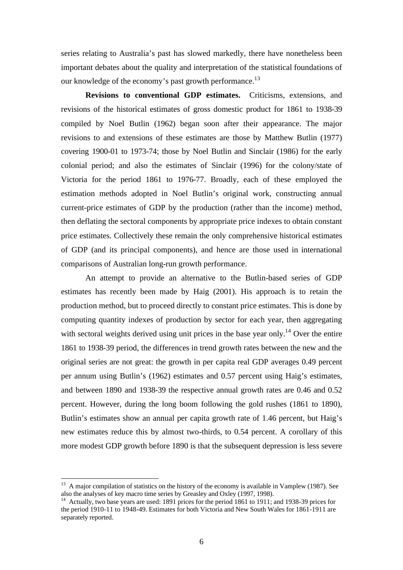series relating to Australia's past has slowed markedly, there have nonetheless been important debates about the quality and interpretation of the statistical foundations of our knowledge of the economy's past growth performance.<sup>13</sup>

**Revisions to conventional GDP estimates.** Criticisms, extensions, and revisions of the historical estimates of gross domestic product for 1861 to 1938-39 compiled by Noel Butlin (1962) began soon after their appearance. The major revisions to and extensions of these estimates are those by Matthew Butlin (1977) covering 1900-01 to 1973-74; those by Noel Butlin and Sinclair (1986) for the early colonial period; and also the estimates of Sinclair (1996) for the colony/state of Victoria for the period 1861 to 1976-77. Broadly, each of these employed the estimation methods adopted in Noel Butlin's original work, constructing annual current-price estimates of GDP by the production (rather than the income) method, then deflating the sectoral components by appropriate price indexes to obtain constant price estimates. Collectively these remain the only comprehensive historical estimates of GDP (and its principal components), and hence are those used in international comparisons of Australian long-run growth performance.

An attempt to provide an alternative to the Butlin-based series of GDP estimates has recently been made by Haig (2001). His approach is to retain the production method, but to proceed directly to constant price estimates. This is done by computing quantity indexes of production by sector for each year, then aggregating with sectoral weights derived using unit prices in the base year only.<sup>14</sup> Over the entire 1861 to 1938-39 period, the differences in trend growth rates between the new and the original series are not great: the growth in per capita real GDP averages 0.49 percent per annum using Butlin's (1962) estimates and 0.57 percent using Haig's estimates, and between 1890 and 1938-39 the respective annual growth rates are 0.46 and 0.52 percent. However, during the long boom following the gold rushes (1861 to 1890), Butlin's estimates show an annual per capita growth rate of 1.46 percent, but Haig's new estimates reduce this by almost two-thirds, to 0.54 percent. A corollary of this more modest GDP growth before 1890 is that the subsequent depression is less severe

<sup>&</sup>lt;sup>13</sup> A major compilation of statistics on the history of the economy is available in Vamplew (1987). See also the analyses of key macro time series by Greasley and Oxley (1997, 1998).

<sup>&</sup>lt;sup>14</sup> Actually, two base years are used: 1891 prices for the period 1861 to 1911; and 1938-39 prices for the period 1910-11 to 1948-49. Estimates for both Victoria and New South Wales for 1861-1911 are separately reported.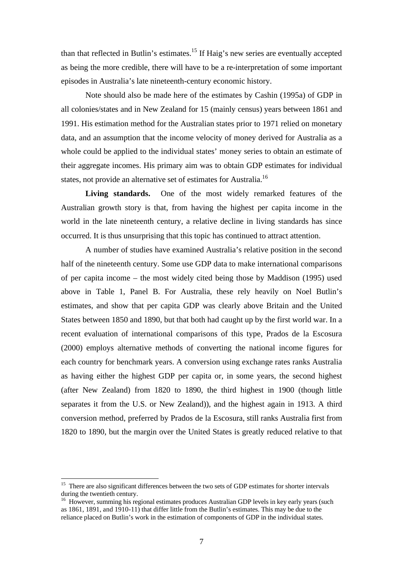than that reflected in Butlin's estimates.<sup>15</sup> If Haig's new series are eventually accepted as being the more credible, there will have to be a re-interpretation of some important episodes in Australia's late nineteenth-century economic history.

Note should also be made here of the estimates by Cashin (1995a) of GDP in all colonies/states and in New Zealand for 15 (mainly census) years between 1861 and 1991. His estimation method for the Australian states prior to 1971 relied on monetary data, and an assumption that the income velocity of money derived for Australia as a whole could be applied to the individual states' money series to obtain an estimate of their aggregate incomes. His primary aim was to obtain GDP estimates for individual states, not provide an alternative set of estimates for Australia.<sup>16</sup>

Living standards. One of the most widely remarked features of the Australian growth story is that, from having the highest per capita income in the world in the late nineteenth century, a relative decline in living standards has since occurred. It is thus unsurprising that this topic has continued to attract attention.

A number of studies have examined Australia's relative position in the second half of the nineteenth century. Some use GDP data to make international comparisons of per capita income – the most widely cited being those by Maddison (1995) used above in Table 1, Panel B. For Australia, these rely heavily on Noel Butlin's estimates, and show that per capita GDP was clearly above Britain and the United States between 1850 and 1890, but that both had caught up by the first world war. In a recent evaluation of international comparisons of this type, Prados de la Escosura (2000) employs alternative methods of converting the national income figures for each country for benchmark years. A conversion using exchange rates ranks Australia as having either the highest GDP per capita or, in some years, the second highest (after New Zealand) from 1820 to 1890, the third highest in 1900 (though little separates it from the U.S. or New Zealand)), and the highest again in 1913. A third conversion method, preferred by Prados de la Escosura, still ranks Australia first from 1820 to 1890, but the margin over the United States is greatly reduced relative to that

<sup>&</sup>lt;sup>15</sup> There are also significant differences between the two sets of GDP estimates for shorter intervals during the twentieth century.

<sup>&</sup>lt;sup>16</sup> However, summing his regional estimates produces Australian GDP levels in key early years (such as 1861, 1891, and 1910-11) that differ little from the Butlin's estimates. This may be due to the reliance placed on Butlin's work in the estimation of components of GDP in the individual states.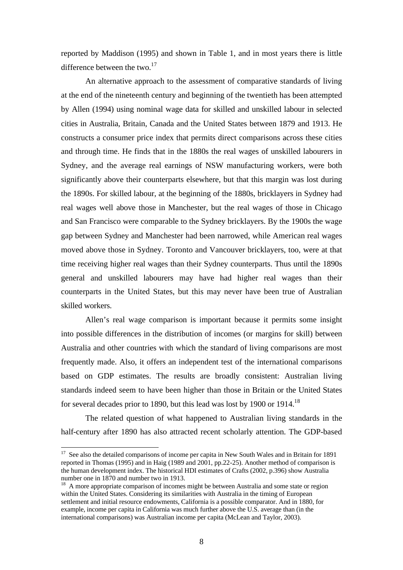reported by Maddison (1995) and shown in Table 1, and in most years there is little difference between the two. $17$ 

An alternative approach to the assessment of comparative standards of living at the end of the nineteenth century and beginning of the twentieth has been attempted by Allen (1994) using nominal wage data for skilled and unskilled labour in selected cities in Australia, Britain, Canada and the United States between 1879 and 1913. He constructs a consumer price index that permits direct comparisons across these cities and through time. He finds that in the 1880s the real wages of unskilled labourers in Sydney, and the average real earnings of NSW manufacturing workers, were both significantly above their counterparts elsewhere, but that this margin was lost during the 1890s. For skilled labour, at the beginning of the 1880s, bricklayers in Sydney had real wages well above those in Manchester, but the real wages of those in Chicago and San Francisco were comparable to the Sydney bricklayers. By the 1900s the wage gap between Sydney and Manchester had been narrowed, while American real wages moved above those in Sydney. Toronto and Vancouver bricklayers, too, were at that time receiving higher real wages than their Sydney counterparts. Thus until the 1890s general and unskilled labourers may have had higher real wages than their counterparts in the United States, but this may never have been true of Australian skilled workers.

Allen's real wage comparison is important because it permits some insight into possible differences in the distribution of incomes (or margins for skill) between Australia and other countries with which the standard of living comparisons are most frequently made. Also, it offers an independent test of the international comparisons based on GDP estimates. The results are broadly consistent: Australian living standards indeed seem to have been higher than those in Britain or the United States for several decades prior to 1890, but this lead was lost by 1900 or 1914.<sup>18</sup>

The related question of what happened to Australian living standards in the half-century after 1890 has also attracted recent scholarly attention. The GDP-based

 $17$  See also the detailed comparisons of income per capita in New South Wales and in Britain for 1891 reported in Thomas (1995) and in Haig (1989 and 2001, pp.22-25). Another method of comparison is the human development index. The historical HDI estimates of Crafts (2002, p.396) show Australia number one in 1870 and number two in 1913.

<sup>&</sup>lt;sup>18</sup> A more appropriate comparison of incomes might be between Australia and some state or region within the United States. Considering its similarities with Australia in the timing of European settlement and initial resource endowments, California is a possible comparator. And in 1880, for example, income per capita in California was much further above the U.S. average than (in the international comparisons) was Australian income per capita (McLean and Taylor, 2003).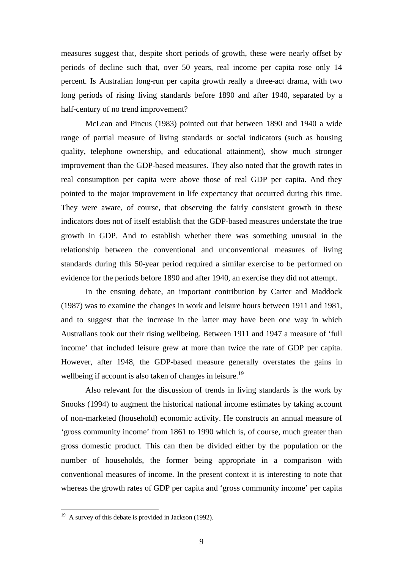measures suggest that, despite short periods of growth, these were nearly offset by periods of decline such that, over 50 years, real income per capita rose only 14 percent. Is Australian long-run per capita growth really a three-act drama, with two long periods of rising living standards before 1890 and after 1940, separated by a half-century of no trend improvement?

McLean and Pincus (1983) pointed out that between 1890 and 1940 a wide range of partial measure of living standards or social indicators (such as housing quality, telephone ownership, and educational attainment), show much stronger improvement than the GDP-based measures. They also noted that the growth rates in real consumption per capita were above those of real GDP per capita. And they pointed to the major improvement in life expectancy that occurred during this time. They were aware, of course, that observing the fairly consistent growth in these indicators does not of itself establish that the GDP-based measures understate the true growth in GDP. And to establish whether there was something unusual in the relationship between the conventional and unconventional measures of living standards during this 50-year period required a similar exercise to be performed on evidence for the periods before 1890 and after 1940, an exercise they did not attempt.

In the ensuing debate, an important contribution by Carter and Maddock (1987) was to examine the changes in work and leisure hours between 1911 and 1981, and to suggest that the increase in the latter may have been one way in which Australians took out their rising wellbeing. Between 1911 and 1947 a measure of 'full income' that included leisure grew at more than twice the rate of GDP per capita. However, after 1948, the GDP-based measure generally overstates the gains in wellbeing if account is also taken of changes in leisure.<sup>19</sup>

Also relevant for the discussion of trends in living standards is the work by Snooks (1994) to augment the historical national income estimates by taking account of non-marketed (household) economic activity. He constructs an annual measure of 'gross community income' from 1861 to 1990 which is, of course, much greater than gross domestic product. This can then be divided either by the population or the number of households, the former being appropriate in a comparison with conventional measures of income. In the present context it is interesting to note that whereas the growth rates of GDP per capita and 'gross community income' per capita

 $19$  A survey of this debate is provided in Jackson (1992).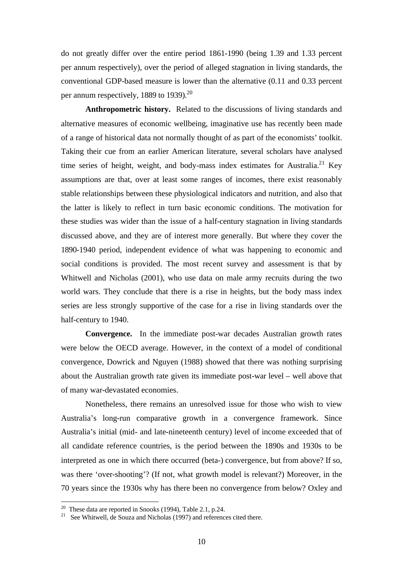do not greatly differ over the entire period 1861-1990 (being 1.39 and 1.33 percent per annum respectively), over the period of alleged stagnation in living standards, the conventional GDP-based measure is lower than the alternative (0.11 and 0.33 percent per annum respectively, 1889 to 1939). $^{20}$ 

**Anthropometric history.** Related to the discussions of living standards and alternative measures of economic wellbeing, imaginative use has recently been made of a range of historical data not normally thought of as part of the economists' toolkit. Taking their cue from an earlier American literature, several scholars have analysed time series of height, weight, and body-mass index estimates for Australia.<sup>21</sup> Key assumptions are that, over at least some ranges of incomes, there exist reasonably stable relationships between these physiological indicators and nutrition, and also that the latter is likely to reflect in turn basic economic conditions. The motivation for these studies was wider than the issue of a half-century stagnation in living standards discussed above, and they are of interest more generally. But where they cover the 1890-1940 period, independent evidence of what was happening to economic and social conditions is provided. The most recent survey and assessment is that by Whitwell and Nicholas (2001), who use data on male army recruits during the two world wars. They conclude that there is a rise in heights, but the body mass index series are less strongly supportive of the case for a rise in living standards over the half-century to 1940.

**Convergence.** In the immediate post-war decades Australian growth rates were below the OECD average. However, in the context of a model of conditional convergence, Dowrick and Nguyen (1988) showed that there was nothing surprising about the Australian growth rate given its immediate post-war level – well above that of many war-devastated economies.

Nonetheless, there remains an unresolved issue for those who wish to view Australia's long-run comparative growth in a convergence framework. Since Australia's initial (mid- and late-nineteenth century) level of income exceeded that of all candidate reference countries, is the period between the 1890s and 1930s to be interpreted as one in which there occurred (beta-) convergence, but from above? If so, was there 'over-shooting'? (If not, what growth model is relevant?) Moreover, in the 70 years since the 1930s why has there been no convergence from below? Oxley and

<sup>&</sup>lt;sup>20</sup> These data are reported in Snooks (1994), Table 2.1, p.24.

<sup>&</sup>lt;sup>21</sup> See Whitwell, de Souza and Nicholas (1997) and references cited there.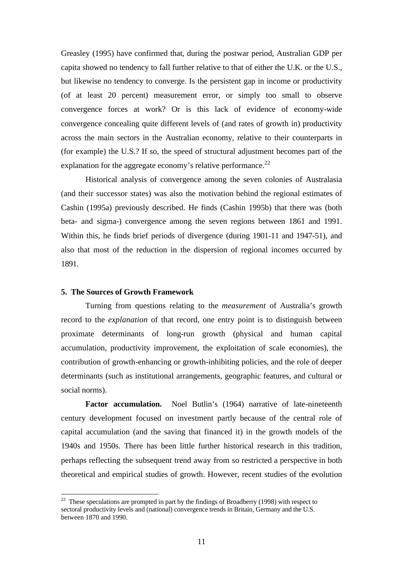Greasley (1995) have confirmed that, during the postwar period, Australian GDP per capita showed no tendency to fall further relative to that of either the U.K. or the U.S., but likewise no tendency to converge. Is the persistent gap in income or productivity (of at least 20 percent) measurement error, or simply too small to observe convergence forces at work? Or is this lack of evidence of economy-wide convergence concealing quite different levels of (and rates of growth in) productivity across the main sectors in the Australian economy, relative to their counterparts in (for example) the U.S.? If so, the speed of structural adjustment becomes part of the explanation for the aggregate economy's relative performance.<sup>22</sup>

Historical analysis of convergence among the seven colonies of Australasia (and their successor states) was also the motivation behind the regional estimates of Cashin (1995a) previously described. He finds (Cashin 1995b) that there was (both beta- and sigma-) convergence among the seven regions between 1861 and 1991. Within this, he finds brief periods of divergence (during 1901-11 and 1947-51), and also that most of the reduction in the dispersion of regional incomes occurred by 1891.

### **5. The Sources of Growth Framework**

 $\overline{a}$ 

Turning from questions relating to the *measurement* of Australia's growth record to the *explanation* of that record, one entry point is to distinguish between proximate determinants of long-run growth (physical and human capital accumulation, productivity improvement, the exploitation of scale economies), the contribution of growth-enhancing or growth-inhibiting policies, and the role of deeper determinants (such as institutional arrangements, geographic features, and cultural or social norms).

Factor accumulation. Noel Butlin's (1964) narrative of late-nineteenth century development focused on investment partly because of the central role of capital accumulation (and the saving that financed it) in the growth models of the 1940s and 1950s. There has been little further historical research in this tradition, perhaps reflecting the subsequent trend away from so restricted a perspective in both theoretical and empirical studies of growth. However, recent studies of the evolution

 $22$  These speculations are prompted in part by the findings of Broadberry (1998) with respect to sectoral productivity levels and (national) convergence trends in Britain, Germany and the U.S. between 1870 and 1990.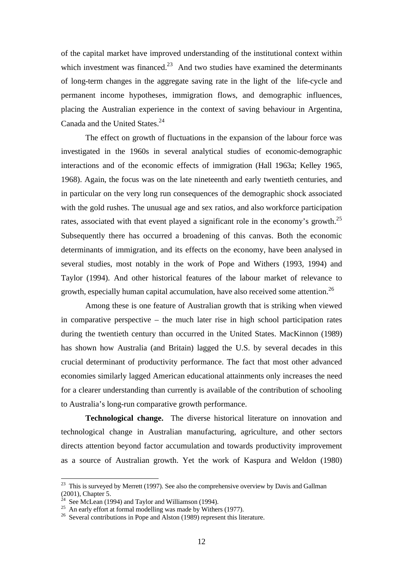of the capital market have improved understanding of the institutional context within which investment was financed.<sup>23</sup> And two studies have examined the determinants of long-term changes in the aggregate saving rate in the light of the life-cycle and permanent income hypotheses, immigration flows, and demographic influences, placing the Australian experience in the context of saving behaviour in Argentina, Canada and the United States.<sup>24</sup>

The effect on growth of fluctuations in the expansion of the labour force was investigated in the 1960s in several analytical studies of economic-demographic interactions and of the economic effects of immigration (Hall 1963a; Kelley 1965, 1968). Again, the focus was on the late nineteenth and early twentieth centuries, and in particular on the very long run consequences of the demographic shock associated with the gold rushes. The unusual age and sex ratios, and also workforce participation rates, associated with that event played a significant role in the economy's growth.<sup>25</sup> Subsequently there has occurred a broadening of this canvas. Both the economic determinants of immigration, and its effects on the economy, have been analysed in several studies, most notably in the work of Pope and Withers (1993, 1994) and Taylor (1994). And other historical features of the labour market of relevance to growth, especially human capital accumulation, have also received some attention.<sup>26</sup>

Among these is one feature of Australian growth that is striking when viewed in comparative perspective – the much later rise in high school participation rates during the twentieth century than occurred in the United States. MacKinnon (1989) has shown how Australia (and Britain) lagged the U.S. by several decades in this crucial determinant of productivity performance. The fact that most other advanced economies similarly lagged American educational attainments only increases the need for a clearer understanding than currently is available of the contribution of schooling to Australia's long-run comparative growth performance.

**Technological change.** The diverse historical literature on innovation and technological change in Australian manufacturing, agriculture, and other sectors directs attention beyond factor accumulation and towards productivity improvement as a source of Australian growth. Yet the work of Kaspura and Weldon (1980)

 $23$  This is surveyed by Merrett (1997). See also the comprehensive overview by Davis and Gallman  $(2001)$ , Chapter 5.

See McLean (1994) and Taylor and Williamson (1994).

 $25$  An early effort at formal modelling was made by Withers (1977).

<sup>&</sup>lt;sup>26</sup> Several contributions in Pope and Alston (1989) represent this literature.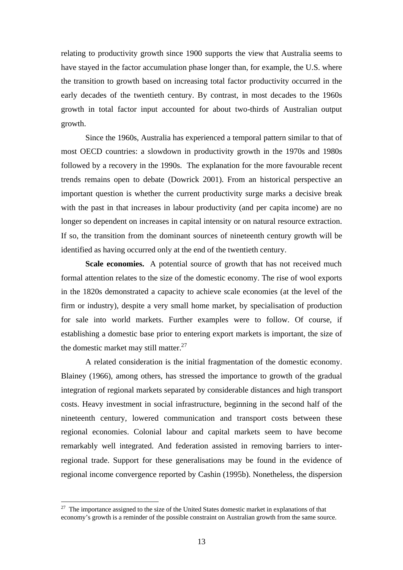relating to productivity growth since 1900 supports the view that Australia seems to have stayed in the factor accumulation phase longer than, for example, the U.S. where the transition to growth based on increasing total factor productivity occurred in the early decades of the twentieth century. By contrast, in most decades to the 1960s growth in total factor input accounted for about two-thirds of Australian output growth.

Since the 1960s, Australia has experienced a temporal pattern similar to that of most OECD countries: a slowdown in productivity growth in the 1970s and 1980s followed by a recovery in the 1990s. The explanation for the more favourable recent trends remains open to debate (Dowrick 2001). From an historical perspective an important question is whether the current productivity surge marks a decisive break with the past in that increases in labour productivity (and per capita income) are no longer so dependent on increases in capital intensity or on natural resource extraction. If so, the transition from the dominant sources of nineteenth century growth will be identified as having occurred only at the end of the twentieth century.

Scale economies. A potential source of growth that has not received much formal attention relates to the size of the domestic economy. The rise of wool exports in the 1820s demonstrated a capacity to achieve scale economies (at the level of the firm or industry), despite a very small home market, by specialisation of production for sale into world markets. Further examples were to follow. Of course, if establishing a domestic base prior to entering export markets is important, the size of the domestic market may still matter.<sup>27</sup>

A related consideration is the initial fragmentation of the domestic economy. Blainey (1966), among others, has stressed the importance to growth of the gradual integration of regional markets separated by considerable distances and high transport costs. Heavy investment in social infrastructure, beginning in the second half of the nineteenth century, lowered communication and transport costs between these regional economies. Colonial labour and capital markets seem to have become remarkably well integrated. And federation assisted in removing barriers to interregional trade. Support for these generalisations may be found in the evidence of regional income convergence reported by Cashin (1995b). Nonetheless, the dispersion

 $27$  The importance assigned to the size of the United States domestic market in explanations of that economy's growth is a reminder of the possible constraint on Australian growth from the same source.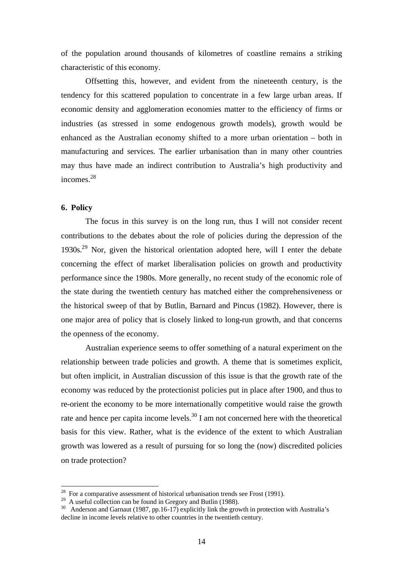of the population around thousands of kilometres of coastline remains a striking characteristic of this economy.

Offsetting this, however, and evident from the nineteenth century, is the tendency for this scattered population to concentrate in a few large urban areas. If economic density and agglomeration economies matter to the efficiency of firms or industries (as stressed in some endogenous growth models), growth would be enhanced as the Australian economy shifted to a more urban orientation – both in manufacturing and services. The earlier urbanisation than in many other countries may thus have made an indirect contribution to Australia's high productivity and incomes.<sup>28</sup>

### **6. Policy**

 $\overline{a}$ 

The focus in this survey is on the long run, thus I will not consider recent contributions to the debates about the role of policies during the depression of the  $1930s<sup>29</sup>$  Nor, given the historical orientation adopted here, will I enter the debate concerning the effect of market liberalisation policies on growth and productivity performance since the 1980s. More generally, no recent study of the economic role of the state during the twentieth century has matched either the comprehensiveness or the historical sweep of that by Butlin, Barnard and Pincus (1982). However, there is one major area of policy that is closely linked to long-run growth, and that concerns the openness of the economy.

Australian experience seems to offer something of a natural experiment on the relationship between trade policies and growth. A theme that is sometimes explicit, but often implicit, in Australian discussion of this issue is that the growth rate of the economy was reduced by the protectionist policies put in place after 1900, and thus to re-orient the economy to be more internationally competitive would raise the growth rate and hence per capita income levels.<sup>30</sup> I am not concerned here with the theoretical basis for this view. Rather, what is the evidence of the extent to which Australian growth was lowered as a result of pursuing for so long the (now) discredited policies on trade protection?

 $28$  For a comparative assessment of historical urbanisation trends see Frost (1991).

 $29$  A useful collection can be found in Gregory and Butlin (1988).

<sup>&</sup>lt;sup>30</sup> Anderson and Garnaut (1987, pp.16-17) explicitly link the growth in protection with Australia's decline in income levels relative to other countries in the twentieth century.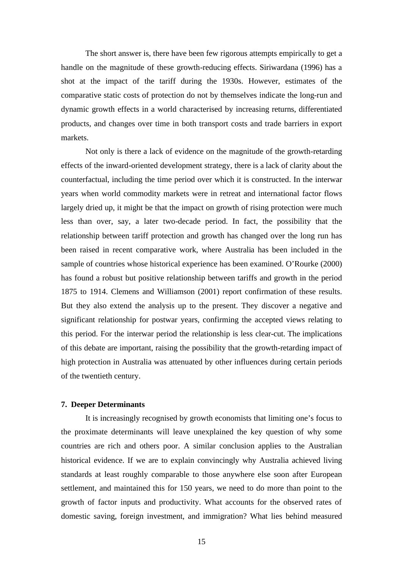The short answer is, there have been few rigorous attempts empirically to get a handle on the magnitude of these growth-reducing effects. Siriwardana (1996) has a shot at the impact of the tariff during the 1930s. However, estimates of the comparative static costs of protection do not by themselves indicate the long-run and dynamic growth effects in a world characterised by increasing returns, differentiated products, and changes over time in both transport costs and trade barriers in export markets.

Not only is there a lack of evidence on the magnitude of the growth-retarding effects of the inward-oriented development strategy, there is a lack of clarity about the counterfactual, including the time period over which it is constructed. In the interwar years when world commodity markets were in retreat and international factor flows largely dried up, it might be that the impact on growth of rising protection were much less than over, say, a later two-decade period. In fact, the possibility that the relationship between tariff protection and growth has changed over the long run has been raised in recent comparative work, where Australia has been included in the sample of countries whose historical experience has been examined. O'Rourke (2000) has found a robust but positive relationship between tariffs and growth in the period 1875 to 1914. Clemens and Williamson (2001) report confirmation of these results. But they also extend the analysis up to the present. They discover a negative and significant relationship for postwar years, confirming the accepted views relating to this period. For the interwar period the relationship is less clear-cut. The implications of this debate are important, raising the possibility that the growth-retarding impact of high protection in Australia was attenuated by other influences during certain periods of the twentieth century.

#### **7. Deeper Determinants**

It is increasingly recognised by growth economists that limiting one's focus to the proximate determinants will leave unexplained the key question of why some countries are rich and others poor. A similar conclusion applies to the Australian historical evidence. If we are to explain convincingly why Australia achieved living standards at least roughly comparable to those anywhere else soon after European settlement, and maintained this for 150 years, we need to do more than point to the growth of factor inputs and productivity. What accounts for the observed rates of domestic saving, foreign investment, and immigration? What lies behind measured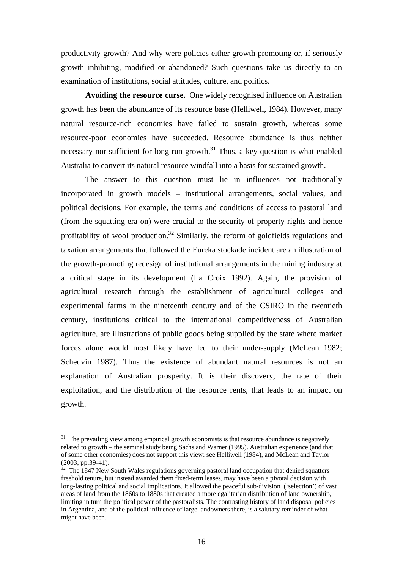productivity growth? And why were policies either growth promoting or, if seriously growth inhibiting, modified or abandoned? Such questions take us directly to an examination of institutions, social attitudes, culture, and politics.

**Avoiding the resource curse.** One widely recognised influence on Australian growth has been the abundance of its resource base (Helliwell, 1984). However, many natural resource-rich economies have failed to sustain growth, whereas some resource-poor economies have succeeded. Resource abundance is thus neither necessary nor sufficient for long run growth.<sup>31</sup> Thus, a key question is what enabled Australia to convert its natural resource windfall into a basis for sustained growth.

The answer to this question must lie in influences not traditionally incorporated in growth models – institutional arrangements, social values, and political decisions. For example, the terms and conditions of access to pastoral land (from the squatting era on) were crucial to the security of property rights and hence profitability of wool production.<sup>32</sup> Similarly, the reform of goldfields regulations and taxation arrangements that followed the Eureka stockade incident are an illustration of the growth-promoting redesign of institutional arrangements in the mining industry at a critical stage in its development (La Croix 1992). Again, the provision of agricultural research through the establishment of agricultural colleges and experimental farms in the nineteenth century and of the CSIRO in the twentieth century, institutions critical to the international competitiveness of Australian agriculture, are illustrations of public goods being supplied by the state where market forces alone would most likely have led to their under-supply (McLean 1982; Schedvin 1987). Thus the existence of abundant natural resources is not an explanation of Australian prosperity. It is their discovery, the rate of their exploitation, and the distribution of the resource rents, that leads to an impact on growth.

 $31$  The prevailing view among empirical growth economists is that resource abundance is negatively related to growth – the seminal study being Sachs and Warner (1995). Australian experience (and that of some other economies) does not support this view: see Helliwell (1984), and McLean and Taylor (2003, pp.39-41).

<sup>&</sup>lt;sup>32</sup> The 1847 New South Wales regulations governing pastoral land occupation that denied squatters freehold tenure, but instead awarded them fixed-term leases, may have been a pivotal decision with long-lasting political and social implications. It allowed the peaceful sub-division ('selection') of vast areas of land from the 1860s to 1880s that created a more egalitarian distribution of land ownership, limiting in turn the political power of the pastoralists. The contrasting history of land disposal policies in Argentina, and of the political influence of large landowners there, is a salutary reminder of what might have been.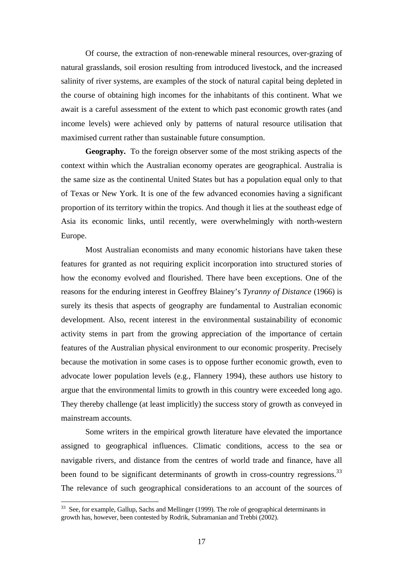Of course, the extraction of non-renewable mineral resources, over-grazing of natural grasslands, soil erosion resulting from introduced livestock, and the increased salinity of river systems, are examples of the stock of natural capital being depleted in the course of obtaining high incomes for the inhabitants of this continent. What we await is a careful assessment of the extent to which past economic growth rates (and income levels) were achieved only by patterns of natural resource utilisation that maximised current rather than sustainable future consumption.

**Geography.** To the foreign observer some of the most striking aspects of the context within which the Australian economy operates are geographical. Australia is the same size as the continental United States but has a population equal only to that of Texas or New York. It is one of the few advanced economies having a significant proportion of its territory within the tropics. And though it lies at the southeast edge of Asia its economic links, until recently, were overwhelmingly with north-western Europe.

Most Australian economists and many economic historians have taken these features for granted as not requiring explicit incorporation into structured stories of how the economy evolved and flourished. There have been exceptions. One of the reasons for the enduring interest in Geoffrey Blainey's *Tyranny of Distance* (1966) is surely its thesis that aspects of geography are fundamental to Australian economic development. Also, recent interest in the environmental sustainability of economic activity stems in part from the growing appreciation of the importance of certain features of the Australian physical environment to our economic prosperity. Precisely because the motivation in some cases is to oppose further economic growth, even to advocate lower population levels (e.g., Flannery 1994), these authors use history to argue that the environmental limits to growth in this country were exceeded long ago. They thereby challenge (at least implicitly) the success story of growth as conveyed in mainstream accounts.

Some writers in the empirical growth literature have elevated the importance assigned to geographical influences. Climatic conditions, access to the sea or navigable rivers, and distance from the centres of world trade and finance, have all been found to be significant determinants of growth in cross-country regressions.<sup>33</sup> The relevance of such geographical considerations to an account of the sources of

 $33$  See, for example, Gallup, Sachs and Mellinger (1999). The role of geographical determinants in growth has, however, been contested by Rodrik, Subramanian and Trebbi (2002).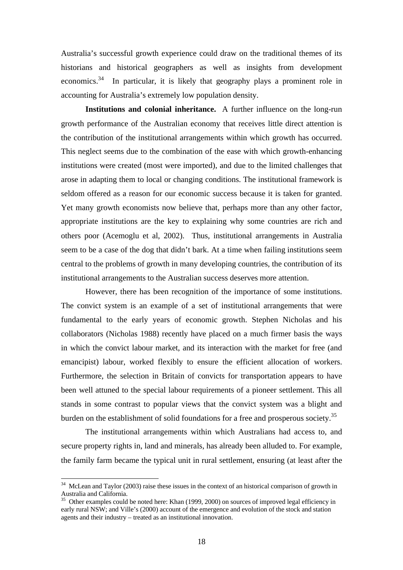Australia's successful growth experience could draw on the traditional themes of its historians and historical geographers as well as insights from development economics.<sup>34</sup> In particular, it is likely that geography plays a prominent role in accounting for Australia's extremely low population density.

**Institutions and colonial inheritance.** A further influence on the long-run growth performance of the Australian economy that receives little direct attention is the contribution of the institutional arrangements within which growth has occurred. This neglect seems due to the combination of the ease with which growth-enhancing institutions were created (most were imported), and due to the limited challenges that arose in adapting them to local or changing conditions. The institutional framework is seldom offered as a reason for our economic success because it is taken for granted. Yet many growth economists now believe that, perhaps more than any other factor, appropriate institutions are the key to explaining why some countries are rich and others poor (Acemoglu et al, 2002). Thus, institutional arrangements in Australia seem to be a case of the dog that didn't bark. At a time when failing institutions seem central to the problems of growth in many developing countries, the contribution of its institutional arrangements to the Australian success deserves more attention.

However, there has been recognition of the importance of some institutions. The convict system is an example of a set of institutional arrangements that were fundamental to the early years of economic growth. Stephen Nicholas and his collaborators (Nicholas 1988) recently have placed on a much firmer basis the ways in which the convict labour market, and its interaction with the market for free (and emancipist) labour, worked flexibly to ensure the efficient allocation of workers. Furthermore, the selection in Britain of convicts for transportation appears to have been well attuned to the special labour requirements of a pioneer settlement. This all stands in some contrast to popular views that the convict system was a blight and burden on the establishment of solid foundations for a free and prosperous society.<sup>35</sup>

The institutional arrangements within which Australians had access to, and secure property rights in, land and minerals, has already been alluded to. For example, the family farm became the typical unit in rural settlement, ensuring (at least after the

 $34$  McLean and Taylor (2003) raise these issues in the context of an historical comparison of growth in Australia and California.

<sup>&</sup>lt;sup>35</sup> Other examples could be noted here: Khan (1999, 2000) on sources of improved legal efficiency in early rural NSW; and Ville's (2000) account of the emergence and evolution of the stock and station agents and their industry – treated as an institutional innovation.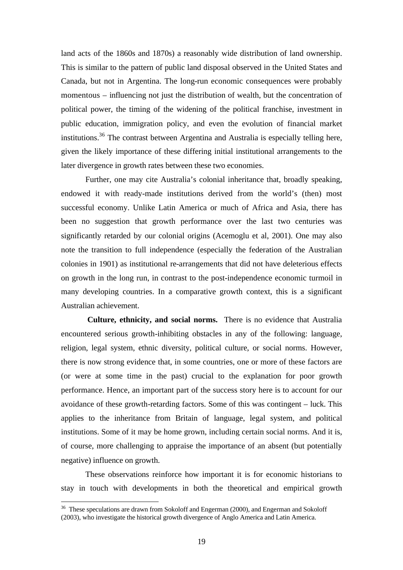land acts of the 1860s and 1870s) a reasonably wide distribution of land ownership. This is similar to the pattern of public land disposal observed in the United States and Canada, but not in Argentina. The long-run economic consequences were probably momentous – influencing not just the distribution of wealth, but the concentration of political power, the timing of the widening of the political franchise, investment in public education, immigration policy, and even the evolution of financial market institutions.<sup>36</sup> The contrast between Argentina and Australia is especially telling here, given the likely importance of these differing initial institutional arrangements to the later divergence in growth rates between these two economies.

Further, one may cite Australia's colonial inheritance that, broadly speaking, endowed it with ready-made institutions derived from the world's (then) most successful economy. Unlike Latin America or much of Africa and Asia, there has been no suggestion that growth performance over the last two centuries was significantly retarded by our colonial origins (Acemoglu et al, 2001). One may also note the transition to full independence (especially the federation of the Australian colonies in 1901) as institutional re-arrangements that did not have deleterious effects on growth in the long run, in contrast to the post-independence economic turmoil in many developing countries. In a comparative growth context, this is a significant Australian achievement.

**Culture, ethnicity, and social norms.** There is no evidence that Australia encountered serious growth-inhibiting obstacles in any of the following: language, religion, legal system, ethnic diversity, political culture, or social norms. However, there is now strong evidence that, in some countries, one or more of these factors are (or were at some time in the past) crucial to the explanation for poor growth performance. Hence, an important part of the success story here is to account for our avoidance of these growth-retarding factors. Some of this was contingent – luck. This applies to the inheritance from Britain of language, legal system, and political institutions. Some of it may be home grown, including certain social norms. And it is, of course, more challenging to appraise the importance of an absent (but potentially negative) influence on growth.

These observations reinforce how important it is for economic historians to stay in touch with developments in both the theoretical and empirical growth

<sup>&</sup>lt;sup>36</sup> These speculations are drawn from Sokoloff and Engerman (2000), and Engerman and Sokoloff (2003), who investigate the historical growth divergence of Anglo America and Latin America.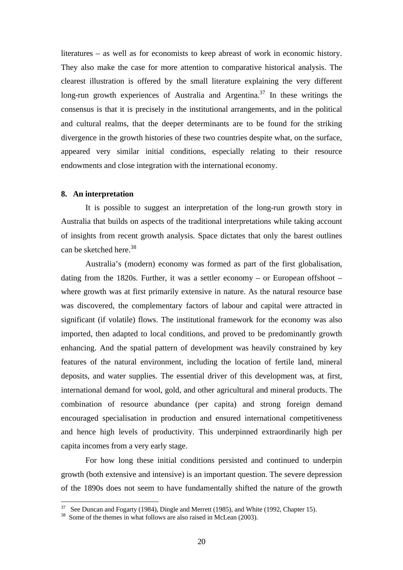literatures – as well as for economists to keep abreast of work in economic history. They also make the case for more attention to comparative historical analysis. The clearest illustration is offered by the small literature explaining the very different long-run growth experiences of Australia and Argentina.<sup>37</sup> In these writings the consensus is that it is precisely in the institutional arrangements, and in the political and cultural realms, that the deeper determinants are to be found for the striking divergence in the growth histories of these two countries despite what, on the surface, appeared very similar initial conditions, especially relating to their resource endowments and close integration with the international economy.

## **8. An interpretation**

 $\overline{a}$ 

It is possible to suggest an interpretation of the long-run growth story in Australia that builds on aspects of the traditional interpretations while taking account of insights from recent growth analysis. Space dictates that only the barest outlines can be sketched here. $38$ 

Australia's (modern) economy was formed as part of the first globalisation, dating from the 1820s. Further, it was a settler economy – or European offshoot – where growth was at first primarily extensive in nature. As the natural resource base was discovered, the complementary factors of labour and capital were attracted in significant (if volatile) flows. The institutional framework for the economy was also imported, then adapted to local conditions, and proved to be predominantly growth enhancing. And the spatial pattern of development was heavily constrained by key features of the natural environment, including the location of fertile land, mineral deposits, and water supplies. The essential driver of this development was, at first, international demand for wool, gold, and other agricultural and mineral products. The combination of resource abundance (per capita) and strong foreign demand encouraged specialisation in production and ensured international competitiveness and hence high levels of productivity. This underpinned extraordinarily high per capita incomes from a very early stage.

For how long these initial conditions persisted and continued to underpin growth (both extensive and intensive) is an important question. The severe depression of the 1890s does not seem to have fundamentally shifted the nature of the growth

 $37$  See Duncan and Fogarty (1984), Dingle and Merrett (1985), and White (1992, Chapter 15).

<sup>&</sup>lt;sup>38</sup> Some of the themes in what follows are also raised in McLean (2003).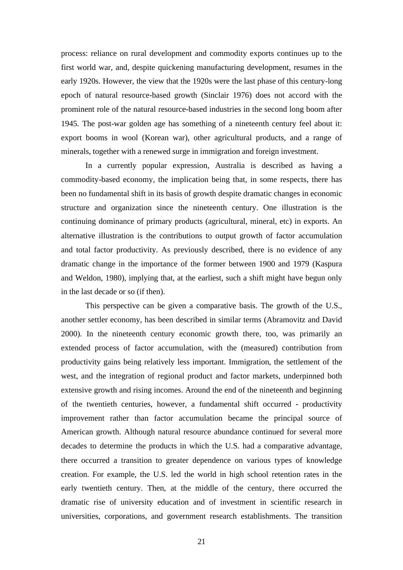process: reliance on rural development and commodity exports continues up to the first world war, and, despite quickening manufacturing development, resumes in the early 1920s. However, the view that the 1920s were the last phase of this century-long epoch of natural resource-based growth (Sinclair 1976) does not accord with the prominent role of the natural resource-based industries in the second long boom after 1945. The post-war golden age has something of a nineteenth century feel about it: export booms in wool (Korean war), other agricultural products, and a range of minerals, together with a renewed surge in immigration and foreign investment.

In a currently popular expression, Australia is described as having a commodity-based economy, the implication being that, in some respects, there has been no fundamental shift in its basis of growth despite dramatic changes in economic structure and organization since the nineteenth century. One illustration is the continuing dominance of primary products (agricultural, mineral, etc) in exports. An alternative illustration is the contributions to output growth of factor accumulation and total factor productivity. As previously described, there is no evidence of any dramatic change in the importance of the former between 1900 and 1979 (Kaspura and Weldon, 1980), implying that, at the earliest, such a shift might have begun only in the last decade or so (if then).

This perspective can be given a comparative basis. The growth of the U.S., another settler economy, has been described in similar terms (Abramovitz and David 2000). In the nineteenth century economic growth there, too, was primarily an extended process of factor accumulation, with the (measured) contribution from productivity gains being relatively less important. Immigration, the settlement of the west, and the integration of regional product and factor markets, underpinned both extensive growth and rising incomes. Around the end of the nineteenth and beginning of the twentieth centuries, however, a fundamental shift occurred - productivity improvement rather than factor accumulation became the principal source of American growth. Although natural resource abundance continued for several more decades to determine the products in which the U.S. had a comparative advantage, there occurred a transition to greater dependence on various types of knowledge creation. For example, the U.S. led the world in high school retention rates in the early twentieth century. Then, at the middle of the century, there occurred the dramatic rise of university education and of investment in scientific research in universities, corporations, and government research establishments. The transition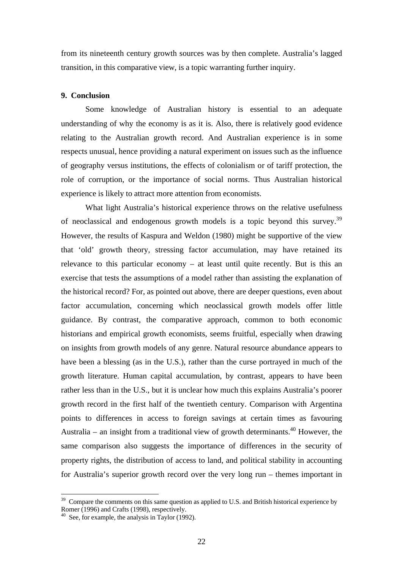from its nineteenth century growth sources was by then complete. Australia's lagged transition, in this comparative view, is a topic warranting further inquiry.

#### **9. Conclusion**

Some knowledge of Australian history is essential to an adequate understanding of why the economy is as it is. Also, there is relatively good evidence relating to the Australian growth record. And Australian experience is in some respects unusual, hence providing a natural experiment on issues such as the influence of geography versus institutions, the effects of colonialism or of tariff protection, the role of corruption, or the importance of social norms. Thus Australian historical experience is likely to attract more attention from economists.

What light Australia's historical experience throws on the relative usefulness of neoclassical and endogenous growth models is a topic beyond this survey.<sup>39</sup> However, the results of Kaspura and Weldon (1980) might be supportive of the view that 'old' growth theory, stressing factor accumulation, may have retained its relevance to this particular economy – at least until quite recently. But is this an exercise that tests the assumptions of a model rather than assisting the explanation of the historical record? For, as pointed out above, there are deeper questions, even about factor accumulation, concerning which neoclassical growth models offer little guidance. By contrast, the comparative approach, common to both economic historians and empirical growth economists, seems fruitful, especially when drawing on insights from growth models of any genre. Natural resource abundance appears to have been a blessing (as in the U.S.), rather than the curse portrayed in much of the growth literature. Human capital accumulation, by contrast, appears to have been rather less than in the U.S., but it is unclear how much this explains Australia's poorer growth record in the first half of the twentieth century. Comparison with Argentina points to differences in access to foreign savings at certain times as favouring Australia – an insight from a traditional view of growth determinants.<sup>40</sup> However, the same comparison also suggests the importance of differences in the security of property rights, the distribution of access to land, and political stability in accounting for Australia's superior growth record over the very long run – themes important in

 $39$  Compare the comments on this same question as applied to U.S. and British historical experience by Romer (1996) and Crafts (1998), respectively.

<sup>&</sup>lt;sup>40</sup> See, for example, the analysis in Taylor (1992).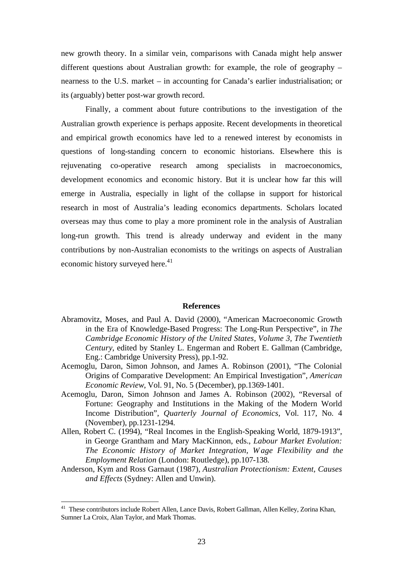new growth theory. In a similar vein, comparisons with Canada might help answer different questions about Australian growth: for example, the role of geography – nearness to the U.S. market – in accounting for Canada's earlier industrialisation; or its (arguably) better post-war growth record.

Finally, a comment about future contributions to the investigation of the Australian growth experience is perhaps apposite. Recent developments in theoretical and empirical growth economics have led to a renewed interest by economists in questions of long-standing concern to economic historians. Elsewhere this is rejuvenating co-operative research among specialists in macroeconomics, development economics and economic history. But it is unclear how far this will emerge in Australia, especially in light of the collapse in support for historical research in most of Australia's leading economics departments. Scholars located overseas may thus come to play a more prominent role in the analysis of Australian long-run growth. This trend is already underway and evident in the many contributions by non-Australian economists to the writings on aspects of Australian economic history surveyed here.<sup>41</sup>

#### **References**

- Abramovitz, Moses, and Paul A. David (2000), "American Macroeconomic Growth in the Era of Knowledge-Based Progress: The Long-Run Perspective", in *The Cambridge Economic History of the United States, Volume 3, The Twentieth Century*, edited by Stanley L. Engerman and Robert E. Gallman (Cambridge, Eng.: Cambridge University Press), pp.1-92.
- Acemoglu, Daron, Simon Johnson, and James A. Robinson (2001), "The Colonial Origins of Comparative Development: An Empirical Investigation", *American Economic Review*, Vol. 91, No. 5 (December), pp.1369-1401.
- Acemoglu, Daron, Simon Johnson and James A. Robinson (2002), "Reversal of Fortune: Geography and Institutions in the Making of the Modern World Income Distribution", *Quarterly Journal of Economics*, Vol. 117, No. 4 (November), pp.1231-1294.
- Allen, Robert C. (1994), "Real Incomes in the English-Speaking World, 1879-1913", in George Grantham and Mary MacKinnon, eds., *Labour Market Evolution: The Economic History of Market Integration, W age Flexibility and the Employment Relation* (London: Routledge), pp.107-138.
- Anderson, Kym and Ross Garnaut (1987), *Australian Protectionism: Extent, Causes and Effects* (Sydney: Allen and Unwin).

<sup>&</sup>lt;sup>41</sup> These contributors include Robert Allen, Lance Davis, Robert Gallman, Allen Kelley, Zorina Khan, Sumner La Croix, Alan Taylor, and Mark Thomas.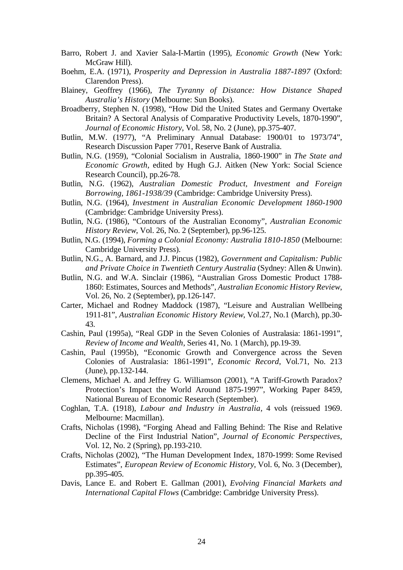- Barro, Robert J. and Xavier Sala-I-Martin (1995), *Economic Growth* (New York: McGraw Hill).
- Boehm, E.A. (1971), *Prosperity and Depression in Australia 1887-1897* (Oxford: Clarendon Press).
- Blainey, Geoffrey (1966), *The Tyranny of Distance: How Distance Shaped Australia's History* (Melbourne: Sun Books).
- Broadberry, Stephen N. (1998), "How Did the United States and Germany Overtake Britain? A Sectoral Analysis of Comparative Productivity Levels, 1870-1990", *Journal of Economic History*, Vol. 58, No. 2 (June), pp.375-407.
- Butlin, M.W. (1977), "A Preliminary Annual Database: 1900/01 to 1973/74", Research Discussion Paper 7701, Reserve Bank of Australia.
- Butlin, N.G. (1959), "Colonial Socialism in Australia, 1860-1900" in *The State and Economic Growth*, edited by Hugh G.J. Aitken (New York: Social Science Research Council), pp.26-78.
- Butlin, N.G. (1962), *Australian Domestic Product, Investment and Foreign Borrowing, 1861-1938/39* (Cambridge: Cambridge University Press).
- Butlin, N.G. (1964), *Investment in Australian Economic Development 1860-1900* (Cambridge: Cambridge University Press).
- Butlin, N.G. (1986), "Contours of the Australian Economy", *Australian Economic History Review*, Vol. 26, No. 2 (September), pp.96-125.
- Butlin, N.G. (1994), *Forming a Colonial Economy: Australia 1810-1850* (Melbourne: Cambridge University Press).
- Butlin, N.G., A. Barnard, and J.J. Pincus (1982), *Government and Capitalism: Public and Private Choice in Twentieth Century Australia* (Sydney: Allen & Unwin).
- Butlin, N.G. and W.A. Sinclair (1986), "Australian Gross Domestic Product 1788- 1860: Estimates, Sources and Methods", *Australian Economic History Review*, Vol. 26, No. 2 (September), pp.126-147.
- Carter, Michael and Rodney Maddock (1987), "Leisure and Australian Wellbeing 1911-81", *Australian Economic History Review*, Vol.27, No.1 (March), pp.30- 43.
- Cashin, Paul (1995a), "Real GDP in the Seven Colonies of Australasia: 1861-1991", *Review of Income and Wealth*, Series 41, No. 1 (March), pp.19-39.
- Cashin, Paul (1995b), "Economic Growth and Convergence across the Seven Colonies of Australasia: 1861-1991", *Economic Record*, Vol.71, No. 213 (June), pp.132-144.
- Clemens, Michael A. and Jeffrey G. Williamson (2001), "A Tariff-Growth Paradox? Protection's Impact the World Around 1875-1997", Working Paper 8459, National Bureau of Economic Research (September).
- Coghlan, T.A. (1918), *Labour and Industry in Australia*, 4 vols (reissued 1969. Melbourne: Macmillan).
- Crafts, Nicholas (1998), "Forging Ahead and Falling Behind: The Rise and Relative Decline of the First Industrial Nation", *Journal of Economic Perspectives*, Vol. 12, No. 2 (Spring), pp.193-210.
- Crafts, Nicholas (2002), "The Human Development Index, 1870-1999: Some Revised Estimates", *European Review of Economic History*, Vol. 6, No. 3 (December), pp.395-405.
- Davis, Lance E. and Robert E. Gallman (2001), *Evolving Financial Markets and International Capital Flows* (Cambridge: Cambridge University Press).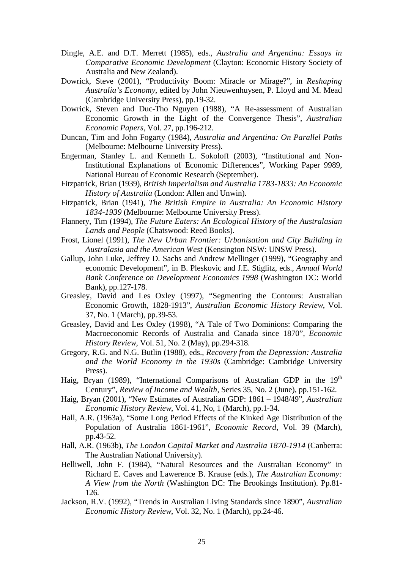- Dingle, A.E. and D.T. Merrett (1985), eds., *Australia and Argentina: Essays in Comparative Economic Development* (Clayton: Economic History Society of Australia and New Zealand).
- Dowrick, Steve (2001), "Productivity Boom: Miracle or Mirage?", in *Reshaping Australia's Economy*, edited by John Nieuwenhuysen, P. Lloyd and M. Mead (Cambridge University Press), pp.19-32.
- Dowrick, Steven and Duc-Tho Nguyen (1988), "A Re-assessment of Australian Economic Growth in the Light of the Convergence Thesis", *Australian Economic Papers*, Vol. 27, pp.196-212.
- Duncan, Tim and John Fogarty (1984), *Australia and Argentina: On Parallel Paths*  (Melbourne: Melbourne University Press).
- Engerman, Stanley L. and Kenneth L. Sokoloff (2003), "Institutional and Non-Institutional Explanations of Economic Differences", Working Paper 9989, National Bureau of Economic Research (September).
- Fitzpatrick, Brian (1939), *British Imperialism and Australia 1783-1833: An Economic History of Australia* (London: Allen and Unwin).
- Fitzpatrick, Brian (1941), *The British Empire in Australia: An Economic History 1834-1939* (Melbourne: Melbourne University Press).
- Flannery, Tim (1994), *The Future Eaters: An Ecological History of the Australasian Lands and People* (Chatswood: Reed Books).
- Frost, Lionel (1991), *The New Urban Frontier: Urbanisation and City Building in Australasia and the American West* (Kensington NSW: UNSW Press).
- Gallup, John Luke, Jeffrey D. Sachs and Andrew Mellinger (1999), "Geography and economic Development", in B. Pleskovic and J.E. Stiglitz, eds., *Annual World Bank Conference on Development Economics 1998* (Washington DC: World Bank), pp.127-178.
- Greasley, David and Les Oxley (1997), "Segmenting the Contours: Australian Economic Growth, 1828-1913", *Australian Economic History Review*, Vol. 37, No. 1 (March), pp.39-53.
- Greasley, David and Les Oxley (1998), "A Tale of Two Dominions: Comparing the Macroeconomic Records of Australia and Canada since 1870", *Economic History Review*, Vol. 51, No. 2 (May), pp.294-318.
- Gregory, R.G. and N.G. Butlin (1988), eds., *Recovery from the Depression: Australia and the World Economy in the 1930s* (Cambridge: Cambridge University Press).
- Haig, Bryan (1989), "International Comparisons of Australian GDP in the 19<sup>th</sup> Century", *Review of Income and Wealth*, Series 35, No. 2 (June), pp.151-162.
- Haig, Bryan (2001), "New Estimates of Australian GDP: 1861 1948/49", *Australian Economic History Review*, Vol. 41, No, 1 (March), pp.1-34.
- Hall, A.R. (1963a), "Some Long Period Effects of the Kinked Age Distribution of the Population of Australia 1861-1961", *Economic Record*, Vol. 39 (March), pp.43-52.
- Hall, A.R. (1963b), *The London Capital Market and Australia 1870-1914* (Canberra: The Australian National University).
- Helliwell, John F. (1984), "Natural Resources and the Australian Economy" in Richard E. Caves and Lawerence B. Krause (eds.), *The Australian Economy: A View from the North* (Washington DC: The Brookings Institution). Pp.81- 126.
- Jackson, R.V. (1992), "Trends in Australian Living Standards since 1890", *Australian Economic History Review*, Vol. 32, No. 1 (March), pp.24-46.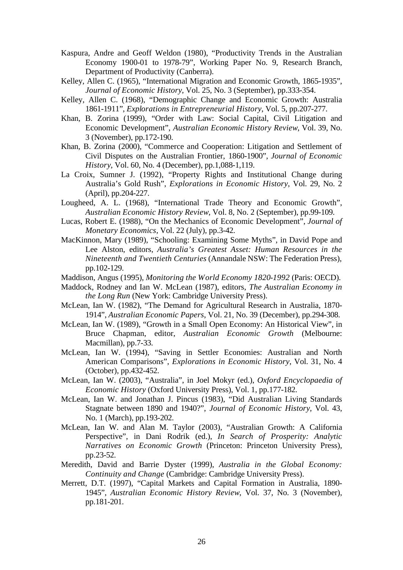- Kaspura, Andre and Geoff Weldon (1980), "Productivity Trends in the Australian Economy 1900-01 to 1978-79", Working Paper No. 9, Research Branch, Department of Productivity (Canberra).
- Kelley, Allen C. (1965), "International Migration and Economic Growth, 1865-1935", *Journal of Economic History*, Vol. 25, No. 3 (September), pp.333-354.
- Kelley, Allen C. (1968), "Demographic Change and Economic Growth: Australia 1861-1911", *Explorations in Entrepreneurial History*, Vol. 5, pp.207-277.
- Khan, B. Zorina (1999), "Order with Law: Social Capital, Civil Litigation and Economic Development", *Australian Economic History Review*, Vol. 39, No. 3 (November), pp.172-190.
- Khan, B. Zorina (2000), "Commerce and Cooperation: Litigation and Settlement of Civil Disputes on the Australian Frontier, 1860-1900", *Journal of Economic History*, Vol. 60, No. 4 (December), pp.1,088-1,119.
- La Croix, Sumner J. (1992), "Property Rights and Institutional Change during Australia's Gold Rush", *Explorations in Economic History*, Vol. 29, No. 2 (April), pp.204-227.
- Lougheed, A. L. (1968), "International Trade Theory and Economic Growth", *Australian Economic History Review*, Vol. 8, No. 2 (September), pp.99-109.
- Lucas, Robert E. (1988), "On the Mechanics of Economic Development", *Journal of Monetary Economics*, Vol. 22 (July), pp.3-42.
- MacKinnon, Mary (1989), "Schooling: Examining Some Myths", in David Pope and Lee Alston, editors, *Australia's Greatest Asset: Human Resources in the Nineteenth and Twentieth Centuries* (Annandale NSW: The Federation Press), pp.102-129.
- Maddison, Angus (1995), *Monitoring the World Economy 1820-1992* (Paris: OECD).
- Maddock, Rodney and Ian W. McLean (1987), editors, *The Australian Economy in the Long Run* (New York: Cambridge University Press).
- McLean, Ian W. (1982), "The Demand for Agricultural Research in Australia, 1870- 1914", *Australian Economic Papers*, Vol. 21, No. 39 (December), pp.294-308.
- McLean, Ian W. (1989), "Growth in a Small Open Economy: An Historical View", in Bruce Chapman, editor, *Australian Economic Growth* (Melbourne: Macmillan), pp.7-33.
- McLean, Ian W. (1994), "Saving in Settler Economies: Australian and North American Comparisons", *Explorations in Economic History*, Vol. 31, No. 4 (October), pp.432-452.
- McLean, Ian W. (2003), "Australia", in Joel Mokyr (ed.), *Oxford Encyclopaedia of Economic History* (Oxford University Press), Vol. 1, pp.177-182.
- McLean, Ian W. and Jonathan J. Pincus (1983), "Did Australian Living Standards Stagnate between 1890 and 1940?", *Journal of Economic History*, Vol. 43, No. 1 (March), pp.193-202.
- McLean, Ian W. and Alan M. Taylor (2003), "Australian Growth: A California Perspective", in Dani Rodrik (ed.), *In Search of Prosperity: Analytic Narratives on Economic Growth* (Princeton: Princeton University Press), pp.23-52.
- Meredith, David and Barrie Dyster (1999), *Australia in the Global Economy: Continuity and Change* (Cambridge: Cambridge University Press).
- Merrett, D.T. (1997), "Capital Markets and Capital Formation in Australia, 1890- 1945", *Australian Economic History Review*, Vol. 37, No. 3 (November), pp.181-201.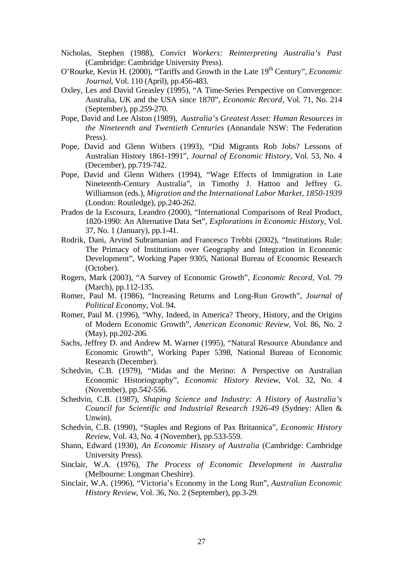- Nicholas, Stephen (1988), *Convict Workers: Reinterpreting Australia's Past* (Cambridge: Cambridge University Press).
- O'Rourke, Kevin H. (2000), "Tariffs and Growth in the Late 19<sup>th</sup> Century", *Economic Journal*, Vol. 110 (April), pp.456-483.
- Oxley, Les and David Greasley (1995), "A Time-Series Perspective on Convergence: Australia, UK and the USA since 1870", *Economic Record*, Vol. 71, No. 214 (September), pp.259-270.
- Pope, David and Lee Alston (1989), *Australia's Greatest Asset: Human Resources in the Nineteenth and Twentieth Centuries* (Annandale NSW: The Federation Press).
- Pope, David and Glenn Withers (1993), "Did Migrants Rob Jobs? Lessons of Australian History 1861-1991", *Journal of Economic History*, Vol. 53, No. 4 (December), pp.719-742.
- Pope, David and Glenn Withers (1994), "Wage Effects of Immigration in Late Nineteenth-Century Australia", in Timothy J. Hatton and Jeffrey G. Williamson (eds.), *Migration and the International Labor Market, 1850-1939* (London: Routledge), pp.240-262.
- Prados de la Escosura, Leandro (2000), "International Comparisons of Real Product, 1820-1990: An Alternative Data Set", *Explorations in Economic History*, Vol. 37, No. 1 (January), pp.1-41.
- Rodrik, Dani, Arvind Subramanian and Francesco Trebbi (2002), "Institutions Rule: The Primacy of Institutions over Geography and Integration in Economic Development", Working Paper 9305, National Bureau of Economic Research (October).
- Rogers, Mark (2003), "A Survey of Economic Growth", *Economic Record*, Vol. 79 (March), pp.112-135.
- Romer, Paul M. (1986), "Increasing Returns and Long-Run Growth", *Journal of Political Economy*, Vol. 94.
- Romer, Paul M. (1996), "Why, Indeed, in America? Theory, History, and the Origins of Modern Economic Growth", *American Economic Review*, Vol. 86, No. 2 (May), pp.202-206.
- Sachs, Jeffrey D. and Andrew M. Warner (1995), "Natural Resource Abundance and Economic Growth", Working Paper 5398, National Bureau of Economic Research (December).
- Schedvin, C.B. (1979), "Midas and the Merino: A Perspective on Australian Economic Historiography", *Economic History Review*, Vol. 32, No. 4 (November), pp.542-556.
- Schedvin, C.B. (1987), *Shaping Science and Industry: A History of Australia's Council for Scientific and Industrial Research 1926-49* (Sydney: Allen & Unwin).
- Schedvin, C.B. (1990), "Staples and Regions of Pax Britannica", *Economic History Review*, Vol. 43, No. 4 (November), pp.533-559.
- Shann, Edward (1930), *An Economic History of Australia* (Cambridge: Cambridge University Press).
- Sinclair, W.A. (1976), *The Process of Economic Development in Australia* (Melbourne: Longman Cheshire).
- Sinclair, W.A. (1996), "Victoria's Economy in the Long Run", *Australian Economic History Review*, Vol. 36, No. 2 (September), pp.3-29.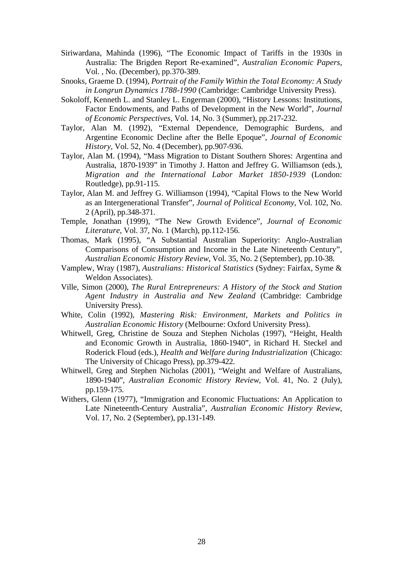- Siriwardana, Mahinda (1996), "The Economic Impact of Tariffs in the 1930s in Australia: The Brigden Report Re-examined", *Australian Economic Papers*, Vol. , No. (December), pp.370-389.
- Snooks, Graeme D. (1994), *Portrait of the Family Within the Total Economy: A Study in Longrun Dynamics 1788-1990* (Cambridge: Cambridge University Press).
- Sokoloff, Kenneth L. and Stanley L. Engerman (2000), "History Lessons: Institutions, Factor Endowments, and Paths of Development in the New World", *Journal of Economic Perspectives*, Vol. 14, No. 3 (Summer), pp.217-232.
- Taylor, Alan M. (1992), "External Dependence, Demographic Burdens, and Argentine Economic Decline after the Belle Epoque", *Journal of Economic History*, Vol. 52, No. 4 (December), pp.907-936.
- Taylor, Alan M. (1994), "Mass Migration to Distant Southern Shores: Argentina and Australia, 1870-1939" in Timothy J. Hatton and Jeffrey G. Williamson (eds.), *Migration and the International Labor Market 1850-1939* (London: Routledge), pp.91-115.
- Taylor, Alan M. and Jeffrey G. Williamson (1994), "Capital Flows to the New World as an Intergenerational Transfer", *Journal of Political Economy*, Vol. 102, No. 2 (April), pp.348-371.
- Temple, Jonathan (1999), "The New Growth Evidence", *Journal of Economic Literature*, Vol. 37, No. 1 (March), pp.112-156.
- Thomas, Mark (1995), "A Substantial Australian Superiority: Anglo-Australian Comparisons of Consumption and Income in the Late Nineteenth Century", *Australian Economic History Review*, Vol. 35, No. 2 (September), pp.10-38.
- Vamplew, Wray (1987), *Australians: Historical Statistics* (Sydney: Fairfax, Syme & Weldon Associates).
- Ville, Simon (2000), *The Rural Entrepreneurs: A History of the Stock and Station Agent Industry in Australia and New Zealand* (Cambridge: Cambridge University Press).
- White, Colin (1992), *Mastering Risk: Environment, Markets and Politics in Australian Economic History* (Melbourne: Oxford University Press).
- Whitwell, Greg, Christine de Souza and Stephen Nicholas (1997), "Height, Health and Economic Growth in Australia, 1860-1940", in Richard H. Steckel and Roderick Floud (eds.), *Health and Welfare during Industrialization* (Chicago: The University of Chicago Press), pp.379-422.
- Whitwell, Greg and Stephen Nicholas (2001), "Weight and Welfare of Australians, 1890-1940", *Australian Economic History Review*, Vol. 41, No. 2 (July), pp.159-175.
- Withers, Glenn (1977), "Immigration and Economic Fluctuations: An Application to Late Nineteenth-Century Australia", *Australian Economic History Review*, Vol. 17, No. 2 (September), pp.131-149.